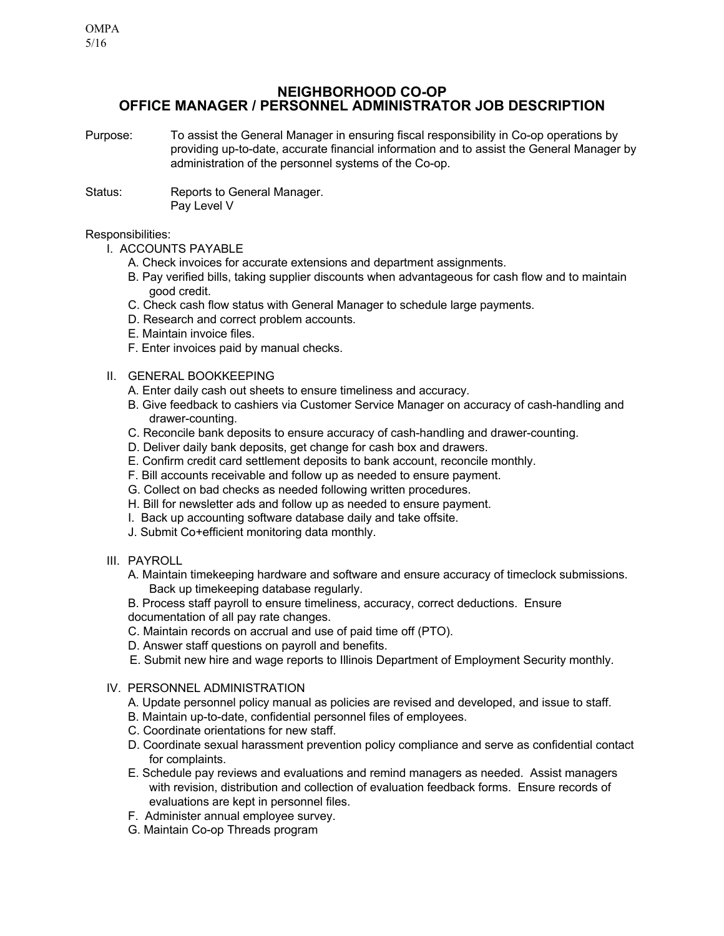# **NEIGHBORHOOD CO-OP OFFICE MANAGER / PERSONNEL ADMINISTRATOR JOB DESCRIPTION**

- Purpose: To assist the General Manager in ensuring fiscal responsibility in Co-op operations by providing up-to-date, accurate financial information and to assist the General Manager by administration of the personnel systems of the Co-op.
- Status: Reports to General Manager. Pay Level V

## Responsibilities:

- I. ACCOUNTS PAYABLE
	- A. Check invoices for accurate extensions and department assignments.
	- B. Pay verified bills, taking supplier discounts when advantageous for cash flow and to maintain good credit.
	- C. Check cash flow status with General Manager to schedule large payments.
	- D. Research and correct problem accounts.
	- E. Maintain invoice files.
	- F. Enter invoices paid by manual checks.
- II. GENERAL BOOKKEEPING
	- A. Enter daily cash out sheets to ensure timeliness and accuracy.
	- B. Give feedback to cashiers via Customer Service Manager on accuracy of cash-handling and drawer-counting.
	- C. Reconcile bank deposits to ensure accuracy of cash-handling and drawer-counting.
	- D. Deliver daily bank deposits, get change for cash box and drawers.
	- E. Confirm credit card settlement deposits to bank account, reconcile monthly.
	- F. Bill accounts receivable and follow up as needed to ensure payment.
	- G. Collect on bad checks as needed following written procedures.
	- H. Bill for newsletter ads and follow up as needed to ensure payment.
	- I. Back up accounting software database daily and take offsite.
	- J. Submit Co+efficient monitoring data monthly.
- III. PAYROLL
	- A. Maintain timekeeping hardware and software and ensure accuracy of timeclock submissions. Back up timekeeping database regularly.
	- B. Process staff payroll to ensure timeliness, accuracy, correct deductions. Ensure documentation of all pay rate changes.
	- C. Maintain records on accrual and use of paid time off (PTO).
	- D. Answer staff questions on payroll and benefits.
	- E. Submit new hire and wage reports to Illinois Department of Employment Security monthly.
- IV. PERSONNEL ADMINISTRATION
	- A. Update personnel policy manual as policies are revised and developed, and issue to staff.
	- B. Maintain up-to-date, confidential personnel files of employees.
	- C. Coordinate orientations for new staff.
	- D. Coordinate sexual harassment prevention policy compliance and serve as confidential contact for complaints.
	- E. Schedule pay reviews and evaluations and remind managers as needed. Assist managers with revision, distribution and collection of evaluation feedback forms. Ensure records of evaluations are kept in personnel files.
	- F. Administer annual employee survey.
	- G. Maintain Co-op Threads program